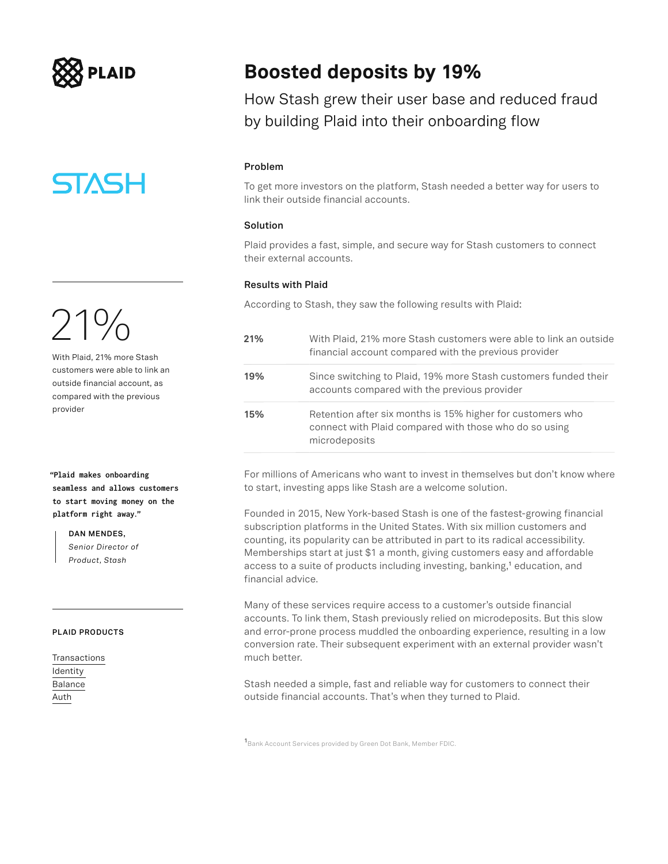

**STASH** 

 $21\%$ With Plaid, 21% more Stash customers were able to link an outside financial account, as compared with the previous

provider

**"Plaid makes onboarding seamless and allows customers to start moving money on the platform right away."**

> **DAN MENDES,**  *Senior Director of Product, Stash*

### **PLAID PRODUCTS**

[Transactions](https://plaid.com/products/transactions/) [Identity](https://plaid.com/products/identity/)  [Balance](https://plaid.com/products/balance/) [Auth](https://plaid.com/products/auth/)

### **Boosted deposits by 19%**

How Stash grew their user base and reduced fraud by building Plaid into their onboarding flow

### **Problem**

To get more investors on the platform, Stash needed a better way for users to link their outside financial accounts.

### **Solution**

Plaid provides a fast, simple, and secure way for Stash customers to connect their external accounts.

### **Results with Plaid**

According to Stash, they saw the following results with Plaid:

| 21% | With Plaid, 21% more Stash customers were able to link an outside<br>financial account compared with the previous provider            |
|-----|---------------------------------------------------------------------------------------------------------------------------------------|
| 19% | Since switching to Plaid, 19% more Stash customers funded their<br>accounts compared with the previous provider                       |
| 15% | Retention after six months is 15% higher for customers who<br>connect with Plaid compared with those who do so using<br>microdeposits |

For millions of Americans who want to invest in themselves but don't know where to start, investing apps like Stash are a welcome solution.

Founded in 2015, New York-based Stash is one of the fastest-growing financial subscription platforms in the United States. With six million customers and counting, its popularity can be attributed in part to its radical accessibility. Memberships start at just \$1 a month, giving customers easy and affordable access to a suite of products including investing, banking,**1** education, and financial advice.

Many of these services require access to a customer's outside financial accounts. To link them, Stash previously relied on microdeposits. But this slow and error-prone process muddled the onboarding experience, resulting in a low conversion rate. Their subsequent experiment with an external provider wasn't much better.

Stash needed a simple, fast and reliable way for customers to connect their outside financial accounts. That's when they turned to Plaid.

**1** Bank Account Services provided by Green Dot Bank, Member FDIC.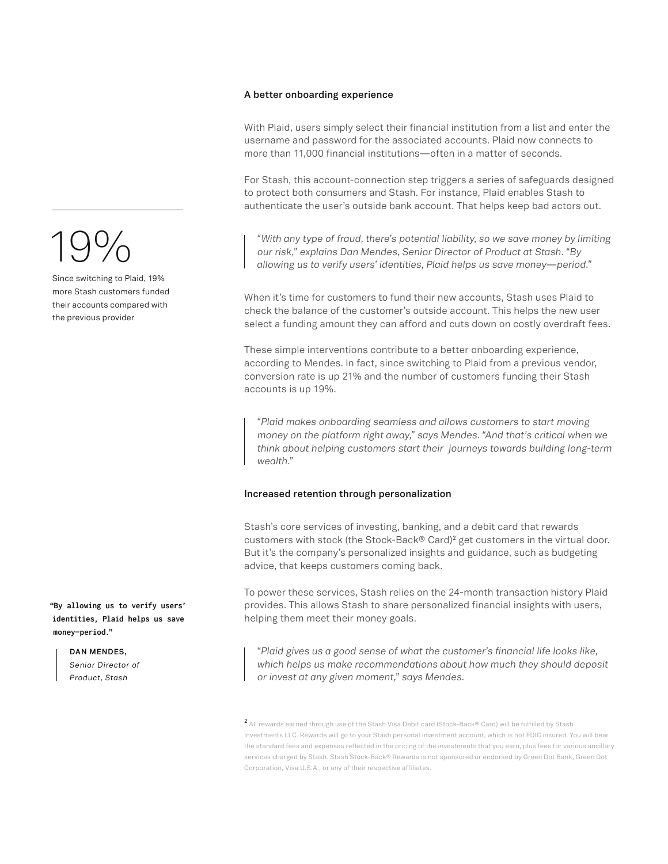### **A better onboarding experience**

With Plaid, users simply select their financial institution from a list and enter the username and password for the associated accounts. Plaid now connects to more than 11,000 financial institutions—often in a matter of seconds.

For Stash, this account-connection step triggers a series of safeguards designed to protect both consumers and Stash. For instance, Plaid enables Stash to authenticate the user's outside bank account. That helps keep bad actors out.

*"With any type of fraud, there's potential liability, so we save money by limiting our risk," explains Dan Mendes, Senior Director of Product at Stash. "By allowing us to verify users' identities, Plaid helps us save money—period."*

When it's time for customers to fund their new accounts, Stash uses Plaid to check the balance of the customer's outside account. This helps the new user select a funding amount they can afford and cuts down on costly overdraft fees.

These simple interventions contribute to a better onboarding experience, according to Mendes. In fact, since switching to Plaid from a previous vendor, conversion rate is up 21% and the number of customers funding their Stash accounts is up 19%.

*"Plaid makes onboarding seamless and allows customers to start moving money on the platform right away," says Mendes. "And that's critical when we think about helping customers start their journeys towards building long-term wealth."* 

### **Increased retention through personalization**

Stash's core services of investing, banking, and a debit card that rewards customers with stock (the Stock-Back® Card)**2** get customers in the virtual door. But it's the company's personalized insights and guidance, such as budgeting advice, that keeps customers coming back.

To power these services, Stash relies on the 24-month transaction history Plaid provides. This allows Stash to share personalized financial insights with users, helping them meet their money goals.

*"Plaid gives us a good sense of what the customer's financial life looks like, which helps us make recommendations about how much they should deposit or invest at any given moment," says Mendes.*

**<sup>2</sup>**All rewards earned through use of the Stash Visa Debit card (Stock-Back® Card) will be fulfilled by Stash Investments LLC. Rewards will go to your Stash personal investment account, which is not FDIC insured. You will bear the standard fees and expenses reflected in the pricing of the investments that you earn, plus fees for various ancillary services charged by Stash. Stash Stock-Back® Rewards is not sponsored or endorsed by Green Dot Bank, Green Dot Corporation, Visa U.S.A., or any of their respective affiliates.

# 19%

Since switching to Plaid, 19% more Stash customers funded their accounts compared with the previous provider

**"By allowing us to verify users' identities, Plaid helps us save money—period."**

**DAN MENDES,** 

*Senior Director of Product, Stash*